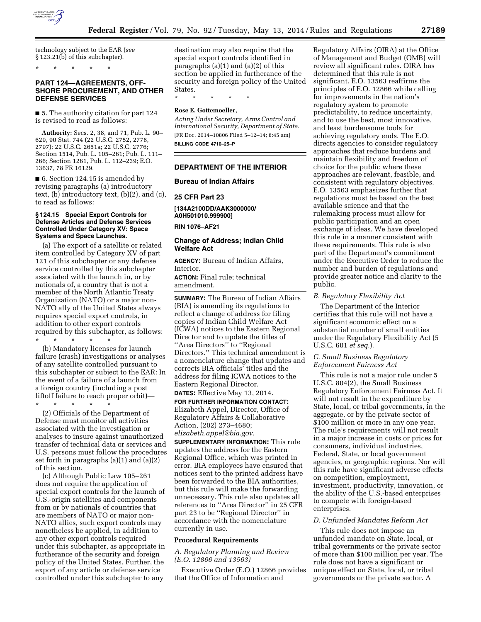

technology subject to the EAR (*see*  § 123.21(b) of this subchapter).

\* \* \* \* \*

# **PART 124—AGREEMENTS, OFF-SHORE PROCUREMENT, AND OTHER DEFENSE SERVICES**

■ 5. The authority citation for part 124 is revised to read as follows:

**Authority:** Secs. 2, 38, and 71, Pub. L. 90– 629, 90 Stat. 744 (22 U.S.C. 2752, 2778, 2797); 22 U.S.C. 2651a; 22 U.S.C. 2776; Section 1514, Pub. L. 105–261; Pub. L. 111– 266; Section 1261, Pub. L. 112–239; E.O. 13637, 78 FR 16129.

■ 6. Section 124.15 is amended by revising paragraphs (a) introductory text, (b) introductory text, (b)(2), and (c), to read as follows:

#### **§ 124.15 Special Export Controls for Defense Articles and Defense Services Controlled Under Category XV: Space Systems and Space Launches.**

(a) The export of a satellite or related item controlled by Category XV of part 121 of this subchapter or any defense service controlled by this subchapter associated with the launch in, or by nationals of, a country that is not a member of the North Atlantic Treaty Organization (NATO) or a major non-NATO ally of the United States always requires special export controls, in addition to other export controls required by this subchapter, as follows:

\* \* \* \* \*

(b) Mandatory licenses for launch failure (crash) investigations or analyses of any satellite controlled pursuant to this subchapter or subject to the EAR: In the event of a failure of a launch from a foreign country (including a post liftoff failure to reach proper orbit)—

\* \* \* \* \* (2) Officials of the Department of Defense must monitor all activities associated with the investigation or analyses to insure against unauthorized transfer of technical data or services and U.S. persons must follow the procedures set forth in paragraphs (a)(1) and (a)(2) of this section.

(c) Although Public Law 105–261 does not require the application of special export controls for the launch of U.S.-origin satellites and components from or by nationals of countries that are members of NATO or major non-NATO allies, such export controls may nonetheless be applied, in addition to any other export controls required under this subchapter, as appropriate in furtherance of the security and foreign policy of the United States. Further, the export of any article or defense service controlled under this subchapter to any

destination may also require that the special export controls identified in paragraphs  $(a)(1)$  and  $(a)(2)$  of this section be applied in furtherance of the security and foreign policy of the United States.

\* \* \* \* \*

#### **Rose E. Gottemoeller,**

*Acting Under Secretary, Arms Control and International Security, Department of State.*  [FR Doc. 2014–10806 Filed 5–12–14; 8:45 am] **BILLING CODE 4710–25–P** 

## **DEPARTMENT OF THE INTERIOR**

#### **Bureau of Indian Affairs**

#### **25 CFR Part 23**

**[134A2100DD/AAK3000000/ A0H501010.999900]** 

**RIN 1076–AF21** 

## **Change of Address; Indian Child Welfare Act**

**AGENCY:** Bureau of Indian Affairs, Interior.

**ACTION:** Final rule; technical amendment.

**SUMMARY:** The Bureau of Indian Affairs (BIA) is amending its regulations to reflect a change of address for filing copies of Indian Child Welfare Act (ICWA) notices to the Eastern Regional Director and to update the titles of ''Area Directors'' to ''Regional Directors.'' This technical amendment is a nomenclature change that updates and corrects BIA officials' titles and the address for filing ICWA notices to the Eastern Regional Director. **DATES:** Effective May 13, 2014.

**FOR FURTHER INFORMATION CONTACT:** 

Elizabeth Appel, Director, Office of Regulatory Affairs & Collaborative Action, (202) 273–4680; *[elizabeth.appel@bia.gov.](mailto:elizabeth.appel@bia.gov)* 

**SUPPLEMENTARY INFORMATION:** This rule updates the address for the Eastern Regional Office, which was printed in error. BIA employees have ensured that notices sent to the printed address have been forwarded to the BIA authorities, but this rule will make the forwarding unnecessary. This rule also updates all references to ''Area Director'' in 25 CFR part 23 to be ''Regional Director'' in accordance with the nomenclature currently in use.

#### **Procedural Requirements**

*A. Regulatory Planning and Review (E.O. 12866 and 13563)* 

Executive Order (E.O.) 12866 provides that the Office of Information and

Regulatory Affairs (OIRA) at the Office of Management and Budget (OMB) will review all significant rules. OIRA has determined that this rule is not significant. E.O. 13563 reaffirms the principles of E.O. 12866 while calling for improvements in the nation's regulatory system to promote predictability, to reduce uncertainty, and to use the best, most innovative, and least burdensome tools for achieving regulatory ends. The E.O. directs agencies to consider regulatory approaches that reduce burdens and maintain flexibility and freedom of choice for the public where these approaches are relevant, feasible, and consistent with regulatory objectives. E.O. 13563 emphasizes further that regulations must be based on the best available science and that the rulemaking process must allow for public participation and an open exchange of ideas. We have developed this rule in a manner consistent with these requirements. This rule is also part of the Department's commitment under the Executive Order to reduce the number and burden of regulations and provide greater notice and clarity to the public.

#### *B. Regulatory Flexibility Act*

The Department of the Interior certifies that this rule will not have a significant economic effect on a substantial number of small entities under the Regulatory Flexibility Act (5 U.S.C. 601 *et seq.*).

## *C. Small Business Regulatory Enforcement Fairness Act*

This rule is not a major rule under 5 U.S.C. 804(2), the Small Business Regulatory Enforcement Fairness Act. It will not result in the expenditure by State, local, or tribal governments, in the aggregate, or by the private sector of \$100 million or more in any one year. The rule's requirements will not result in a major increase in costs or prices for consumers, individual industries, Federal, State, or local government agencies, or geographic regions. Nor will this rule have significant adverse effects on competition, employment, investment, productivity, innovation, or the ability of the U.S.-based enterprises to compete with foreign-based enterprises.

#### *D. Unfunded Mandates Reform Act*

This rule does not impose an unfunded mandate on State, local, or tribal governments or the private sector of more than \$100 million per year. The rule does not have a significant or unique effect on State, local, or tribal governments or the private sector. A